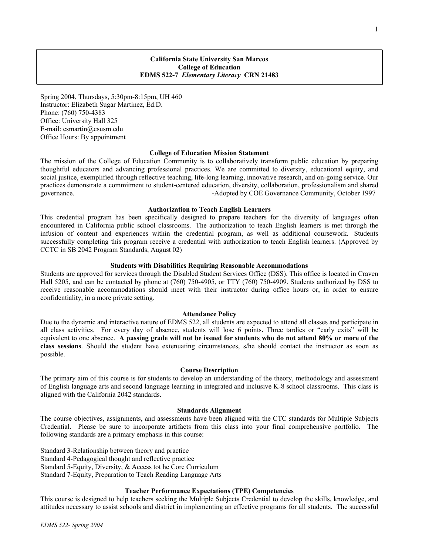## **California State University San Marcos College of Education EDMS 522-7** *Elementary Literacy* **CRN 21483**

Spring 2004, Thursdays, 5:30pm-8:15pm, UH 460 Instructor: Elizabeth Sugar Martínez, Ed.D. Phone: (760) 750-4383 Office: University Hall 325 E-mail: esmartin@csusm.edu Office Hours: By appointment

#### **College of Education Mission Statement**

The mission of the College of Education Community is to collaboratively transform public education by preparing thoughtful educators and advancing professional practices. We are committed to diversity, educational equity, and social justice, exemplified through reflective teaching, life-long learning, innovative research, and on-going service. Our practices demonstrate a commitment to student-centered education, diversity, collaboration, professionalism and shared governance. The community, October 1997 and the community of the community, October 1997

#### **Authorization to Teach English Learners**

This credential program has been specifically designed to prepare teachers for the diversity of languages often encountered in California public school classrooms. The authorization to teach English learners is met through the infusion of content and experiences within the credential program, as well as additional coursework. Students successfully completing this program receive a credential with authorization to teach English learners. (Approved by CCTC in SB 2042 Program Standards, August 02)

### **Students with Disabilities Requiring Reasonable Accommodations**

Students are approved for services through the Disabled Student Services Office (DSS). This office is located in Craven Hall 5205, and can be contacted by phone at (760) 750-4905, or TTY (760) 750-4909. Students authorized by DSS to receive reasonable accommodations should meet with their instructor during office hours or, in order to ensure confidentiality, in a more private setting.

#### **Attendance Policy**

Due to the dynamic and interactive nature of EDMS 522, all students are expected to attend all classes and participate in all class activities. For every day of absence, students will lose 6 points**.** Three tardies or "early exits" will be equivalent to one absence. **A passing grade will not be issued for students who do not attend 80% or more of the class sessions**. Should the student have extenuating circumstances, s/he should contact the instructor as soon as possible.

### **Course Description**

The primary aim of this course is for students to develop an understanding of the theory, methodology and assessment of English language arts and second language learning in integrated and inclusive K-8 school classrooms. This class is aligned with the California 2042 standards.

#### **Standards Alignment**

The course objectives, assignments, and assessments have been aligned with the CTC standards for Multiple Subjects Credential. Please be sure to incorporate artifacts from this class into your final comprehensive portfolio. The following standards are a primary emphasis in this course:

Standard 3-Relationship between theory and practice Standard 4-Pedagogical thought and reflective practice Standard 5-Equity, Diversity, & Access tot he Core Curriculum Standard 7-Equity, Preparation to Teach Reading Language Arts

#### **Teacher Performance Expectations (TPE) Competencies**

This course is designed to help teachers seeking the Multiple Subjects Credential to develop the skills, knowledge, and attitudes necessary to assist schools and district in implementing an effective programs for all students. The successful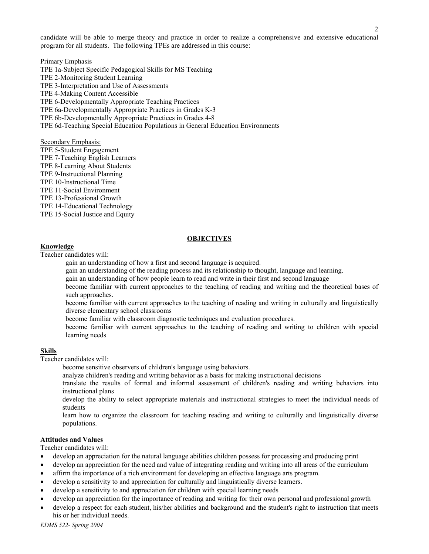candidate will be able to merge theory and practice in order to realize a comprehensive and extensive educational program for all students. The following TPEs are addressed in this course:

Primary Emphasis TPE 1a-Subject Specific Pedagogical Skills for MS Teaching TPE 2-Monitoring Student Learning TPE 3-Interpretation and Use of Assessments TPE 4-Making Content Accessible TPE 6-Developmentally Appropriate Teaching Practices TPE 6a-Developmentally Appropriate Practices in Grades K-3 TPE 6b-Developmentally Appropriate Practices in Grades 4-8 TPE 6d-Teaching Special Education Populations in General Education Environments

Secondary Emphasis:

- TPE 5-Student Engagement
- TPE 7-Teaching English Learners
- TPE 8-Learning About Students
- TPE 9-Instructional Planning
- TPE 10-Instructional Time
- TPE 11-Social Environment
- TPE 13-Professional Growth
- TPE 14-Educational Technology
- TPE 15-Social Justice and Equity

## **OBJECTIVES**

#### **Knowledge**

Teacher candidates will:

- gain an understanding of how a first and second language is acquired.
- gain an understanding of the reading process and its relationship to thought, language and learning.
- gain an understanding of how people learn to read and write in their first and second language
- become familiar with current approaches to the teaching of reading and writing and the theoretical bases of such approaches.
- become familiar with current approaches to the teaching of reading and writing in culturally and linguistically diverse elementary school classrooms
- become familiar with classroom diagnostic techniques and evaluation procedures.
- become familiar with current approaches to the teaching of reading and writing to children with special learning needs

# **Skills**

Teacher candidates will:

- become sensitive observers of children's language using behaviors.
- analyze children's reading and writing behavior as a basis for making instructional decisions
- translate the results of formal and informal assessment of children's reading and writing behaviors into instructional plans
- develop the ability to select appropriate materials and instructional strategies to meet the individual needs of students
- learn how to organize the classroom for teaching reading and writing to culturally and linguistically diverse populations.

# **Attitudes and Values**

Teacher candidates will:

- develop an appreciation for the natural language abilities children possess for processing and producing print
- develop an appreciation for the need and value of integrating reading and writing into all areas of the curriculum
- affirm the importance of a rich environment for developing an effective language arts program.
- develop a sensitivity to and appreciation for culturally and linguistically diverse learners.
- develop a sensitivity to and appreciation for children with special learning needs
- develop an appreciation for the importance of reading and writing for their own personal and professional growth
- develop a respect for each student, his/her abilities and background and the student's right to instruction that meets his or her individual needs.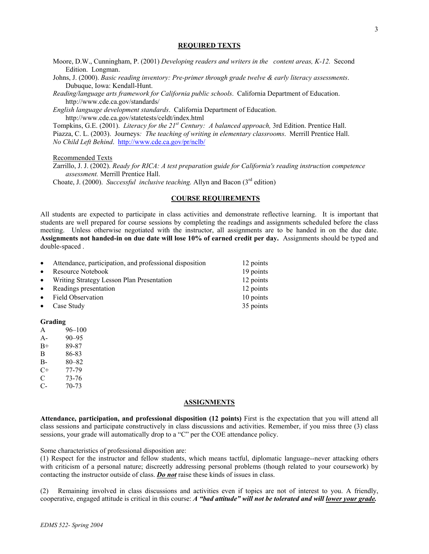### **REQUIRED TEXTS**

- Moore, D.W., Cunningham, P. (2001) *Developing readers and writers in the content areas, K-12.* Second Edition. Longman.
- Johns, J. (2000). *Basic reading inventory: Pre-primer through grade twelve & early literacy assessments*. Dubuque, Iowa: Kendall-Hunt.
- *Reading/language arts framework for California public schools*. California Department of Education. http://www.cde.ca.gov/standards/

*English language development standards*. California Department of Education. http://www.cde.ca.gov/statetests/celdt/index.html

Tompkins, G.E. (2001). *Literacy for the 21st Century: A balanced approach,* 3rd Edition. Prentice Hall. Piazza, C. L. (2003). Journeys*: The teaching of writing in elementary classrooms*. Merrill Prentice Hall. *No Child Left Behind*. http://www.cde.ca.gov/pr/nclb/

Recommended Texts

Zarrillo, J. J. (2002). *Ready for RICA: A test preparation guide for California's reading instruction competence assessment.* Merrill Prentice Hall.

Choate, J. (2000). *Successful inclusive teaching*. Allyn and Bacon (3<sup>rd</sup> edition)

## **COURSE REQUIREMENTS**

All students are expected to participate in class activities and demonstrate reflective learning. It is important that students are well prepared for course sessions by completing the readings and assignments scheduled before the class meeting. Unless otherwise negotiated with the instructor, all assignments are to be handed in on the due date. **Assignments not handed-in on due date will lose 10% of earned credit per day.** Assignments should be typed and double-spaced .

| $\bullet$ | Attendance, participation, and professional disposition | 12 points |
|-----------|---------------------------------------------------------|-----------|
| $\bullet$ | Resource Notebook                                       | 19 points |
|           | • Writing Strategy Lesson Plan Presentation             | 12 points |
| $\bullet$ | Readings presentation                                   | 12 points |
|           | • Field Observation                                     | 10 points |
| $\bullet$ | Case Study                                              | 35 points |

## **Grading**

- A 96–100
- A- 90–95
- B+ 89-87
- B 86-83
- B- 80–82
- C+ 77-79
- C 73-76 C- 70-73
- 

#### **ASSIGNMENTS**

**Attendance, participation, and professional disposition (12 points)** First is the expectation that you will attend all class sessions and participate constructively in class discussions and activities. Remember, if you miss three (3) class sessions, your grade will automatically drop to a "C" per the COE attendance policy.

Some characteristics of professional disposition are:

(1) Respect for the instructor and fellow students, which means tactful, diplomatic language--never attacking others with criticism of a personal nature; discreetly addressing personal problems (though related to your coursework) by contacting the instructor outside of class. *Do not* raise these kinds of issues in class.

(2) Remaining involved in class discussions and activities even if topics are not of interest to you. A friendly, cooperative, engaged attitude is critical in this course: *A "bad attitude" will not be tolerated and will lower your grade.*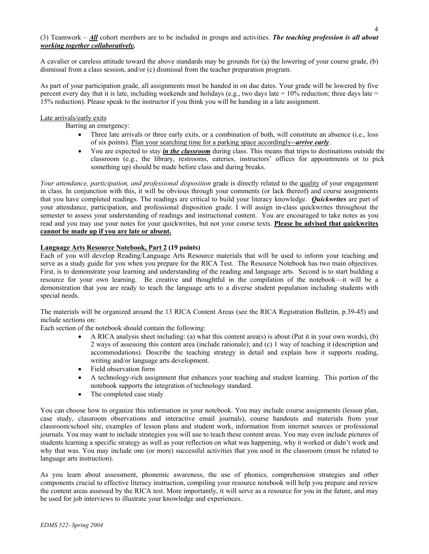## (3) Teamwork – *All* cohort members are to be included in groups and activities. *The teaching profession is all about working together collaboratively.*

A cavalier or careless attitude toward the above standards may be grounds for (a) the lowering of your course grade, (b) dismissal from a class session, and/or (c) dismissal from the teacher preparation program.

As part of your participation grade, all assignments must be handed in on due dates. Your grade will be lowered by five percent every day that it is late, including weekends and holidays (e.g., two days late  $= 10\%$  reduction; three days late  $=$ 15% reduction). Please speak to the instructor if you think you will be handing in a late assignment.

#### Late arrivals/early exits

Barring an emergency:

- Three late arrivals or three early exits, or a combination of both, will constitute an absence (i.e., loss of six points). Plan your searching time for a parking space accordingly--*arrive early*.
- You are expected to stay *in the classroom* during class. This means that trips to destinations outside the classroom (e.g., the library, restrooms, eateries, instructors' offices for appointments or to pick something up) should be made before class and during breaks.

*Your attendance, participation, and professional disposition* grade is directly related to the quality of your engagement in class. In conjunction with this, it will be obvious through your comments (or lack thereof) and course assignments that you have completed readings. The readings are critical to build your literacy knowledge. *Quickwrites* are part of your attendance, participation, and professional disposition grade. I will assign in-class quickwrites throughout the semester to assess your understanding of readings and instructional content. You are encouraged to take notes as you read and you may use your notes for your quickwrites, but not your course texts. **Please be advised that quickwrites cannot be made up if you are late or absent.** 

## **Language Arts Resource Notebook, Part 2 (19 points)**

Each of you will develop Reading/Language Arts Resource materials that will be used to inform your teaching and serve as a study guide for you when you prepare for the RICA Test. The Resource Notebook has two main objectives. First, is to demonstrate your learning and understanding of the reading and language arts. Second is to start building a resource for your own learning. Be creative and thoughtful in the compilation of the notebook—it will be a demonstration that you are ready to teach the language arts to a diverse student population including students with special needs.

The materials will be organized around the 13 RICA Content Areas (see the RICA Registration Bulletin, p.39-45) and include sections on:

Each section of the notebook should contain the following:

- A RICA analysis sheet including: (a) what this content area(s) is about (Put it in your own words), (b) 2 ways of assessing this content area (include rationale); and (c) 1 way of teaching it (description and accommodations). Describe the teaching strategy in detail and explain how it supports reading, writing and/or language arts development.
- Field observation form
- A technology-rich assignment that enhances your teaching and student learning. This portion of the notebook supports the integration of technology standard.
- The completed case study

You can choose how to organize this information in your notebook. You may include course assignments (lesson plan, case study, classroom observations and interactive email journals), course handouts and materials from your classroom/school site, examples of lesson plans and student work, information from internet sources or professional journals. You may want to include strategies you will use to teach these content areas. You may even include pictures of students learning a specific strategy as well as your reflection on what was happening, why it worked or didn't work and why that was. You may include one (or more) successful activities that you used in the classroom (must be related to language arts instruction).

As you learn about assessment, phonemic awareness, the use of phonics, comprehension strategies and other components crucial to effective literacy instruction, compiling your resource notebook will help you prepare and review the content areas assessed by the RICA test. More importantly, it will serve as a resource for you in the future, and may be used for job interviews to illustrate your knowledge and experiences.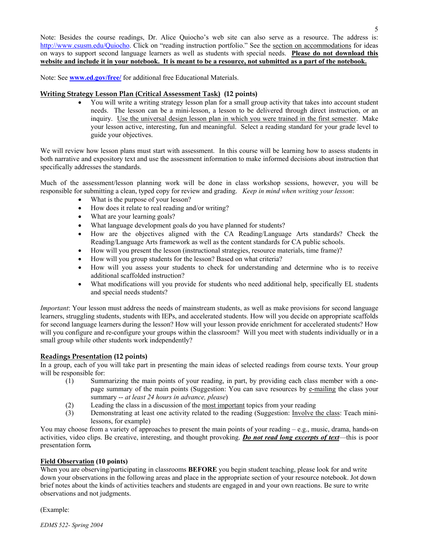Note: Besides the course readings, Dr. Alice Quiocho's web site can also serve as a resource. The address is: http://www.csusm.edu/Quiocho. Click on "reading instruction portfolio." See the section on accommodations for ideas on ways to support second language learners as well as students with special needs. **Please do not download this website and include it in your notebook. It is meant to be a resource, not submitted as a part of the notebook.**

Note: See **www.ed.gov/free/** for additional free Educational Materials.

## **Writing Strategy Lesson Plan (Critical Assessment Task) (12 points)**

• You will write a writing strategy lesson plan for a small group activity that takes into account student needs. The lesson can be a mini-lesson, a lesson to be delivered through direct instruction, or an inquiry. Use the universal design lesson plan in which you were trained in the first semester. Make your lesson active, interesting, fun and meaningful. Select a reading standard for your grade level to guide your objectives.

We will review how lesson plans must start with assessment. In this course will be learning how to assess students in both narrative and expository text and use the assessment information to make informed decisions about instruction that specifically addresses the standards.

Much of the assessment/lesson planning work will be done in class workshop sessions, however, you will be responsible for submitting a clean, typed copy for review and grading. *Keep in mind when writing your lesson*:

- What is the purpose of your lesson?
- How does it relate to real reading and/or writing?
- What are your learning goals?
- What language development goals do you have planned for students?
- How are the objectives aligned with the CA Reading/Language Arts standards? Check the Reading/Language Arts framework as well as the content standards for CA public schools.
- How will you present the lesson (instructional strategies, resource materials, time frame)?
- How will you group students for the lesson? Based on what criteria?
- How will you assess your students to check for understanding and determine who is to receive additional scaffolded instruction?
- What modifications will you provide for students who need additional help, specifically EL students and special needs students?

*Important*: Your lesson must address the needs of mainstream students, as well as make provisions for second language learners, struggling students, students with IEPs, and accelerated students. How will you decide on appropriate scaffolds for second language learners during the lesson? How will your lesson provide enrichment for accelerated students? How will you configure and re-configure your groups within the classroom? Will you meet with students individually or in a small group while other students work independently?

## **Readings Presentation (12 points)**

In a group, each of you will take part in presenting the main ideas of selected readings from course texts. Your group will be responsible for:

- (1) Summarizing the main points of your reading, in part, by providing each class member with a onepage summary of the main points (Suggestion: You can save resources by e-mailing the class your summary -- *at least 24 hours in advance, please*)
- (2) Leading the class in a discussion of the most important topics from your reading
- (3) Demonstrating at least one activity related to the reading (Suggestion: Involve the class: Teach minilessons, for example)

You may choose from a variety of approaches to present the main points of your reading – e.g., music, drama, hands-on activities, video clips. Be creative, interesting, and thought provoking. *Do not read long excerpts of text*—this is poor presentation form*.* 

## **Field Observation (10 points)**

When you are observing/participating in classrooms **BEFORE** you begin student teaching, please look for and write down your observations in the following areas and place in the appropriate section of your resource notebook. Jot down brief notes about the kinds of activities teachers and students are engaged in and your own reactions. Be sure to write observations and not judgments.

(Example:

*EDMS 522- Spring 2004*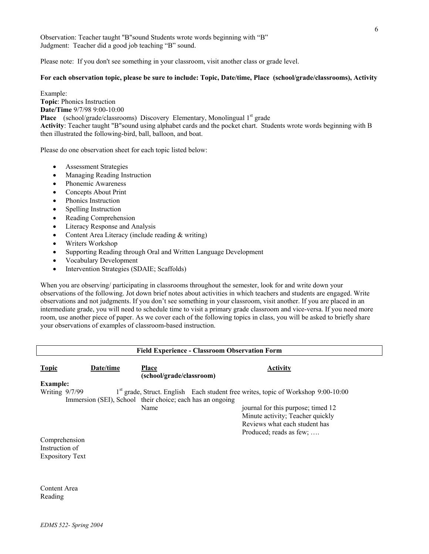Observation: Teacher taught "B"sound Students wrote words beginning with "B" Judgment: Teacher did a good job teaching "B" sound.

Please note: If you don't see something in your classroom, visit another class or grade level.

## **For each observation topic, please be sure to include: Topic, Date/time, Place (school/grade/classrooms), Activity**

Example: **Topic**: Phonics Instruction **Date/Time** 9/7/98 9:00-10:00 **Place** (school/grade/classrooms) Discovery Elementary, Monolingual 1<sup>st</sup> grade **Activity**: Teacher taught "B"sound using alphabet cards and the pocket chart. Students wrote words beginning with B then illustrated the following-bird, ball, balloon, and boat.

Please do one observation sheet for each topic listed below:

- Assessment Strategies
- Managing Reading Instruction
- Phonemic Awareness
- Concepts About Print
- Phonics Instruction
- Spelling Instruction
- Reading Comprehension
- Literacy Response and Analysis
- Content Area Literacy (include reading & writing)
- Writers Workshop
- Supporting Reading through Oral and Written Language Development
- Vocabulary Development
- Intervention Strategies (SDAIE; Scaffolds)

When you are observing/ participating in classrooms throughout the semester, look for and write down your observations of the following. Jot down brief notes about activities in which teachers and students are engaged. Write observations and not judgments. If you don't see something in your classroom, visit another. If you are placed in an intermediate grade, you will need to schedule time to visit a primary grade classroom and vice-versa. If you need more room, use another piece of paper. As we cover each of the following topics in class, you will be asked to briefly share your observations of examples of classroom-based instruction.

| <b>Field Experience - Classroom Observation Form</b> |                                                           |                                          |                                                                                               |
|------------------------------------------------------|-----------------------------------------------------------|------------------------------------------|-----------------------------------------------------------------------------------------------|
| <b>Topic</b>                                         | Date/time                                                 | <b>Place</b><br>(school/grade/classroom) | <b>Activity</b>                                                                               |
| <b>Example:</b>                                      |                                                           |                                          |                                                                                               |
| Writing 9/7/99                                       |                                                           |                                          | 1 <sup>st</sup> grade, Struct. English Each student free writes, topic of Workshop 9:00-10:00 |
|                                                      | Immersion (SEI), School their choice; each has an ongoing |                                          |                                                                                               |
|                                                      |                                                           | Name                                     | journal for this purpose; timed 12                                                            |
|                                                      |                                                           |                                          | Minute activity; Teacher quickly                                                              |
|                                                      |                                                           |                                          | Reviews what each student has                                                                 |
|                                                      |                                                           |                                          | Produced; reads as few;                                                                       |
| Comprehension                                        |                                                           |                                          |                                                                                               |
| Instruction of                                       |                                                           |                                          |                                                                                               |
| <b>Expository Text</b>                               |                                                           |                                          |                                                                                               |
|                                                      |                                                           |                                          |                                                                                               |
|                                                      |                                                           |                                          |                                                                                               |
|                                                      |                                                           |                                          |                                                                                               |
| Content Area                                         |                                                           |                                          |                                                                                               |

*EDMS 522- Spring 2004* 

Reading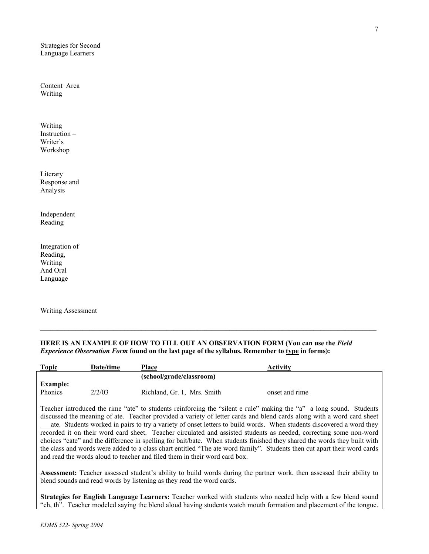Strategies for Second Language Learners

Content Area Writing

Writing Instruction – Writer's Workshop

Literary Response and Analysis

Independent Reading

Integration of Reading, Writing And Oral Language

Writing Assessment

## **HERE IS AN EXAMPLE OF HOW TO FILL OUT AN OBSERVATION FORM (You can use the** *Field Experience Observation Form* found on the last page of the syllabus. Remember to type in forms):

| <b>Topic</b>               | Date/time | <b>Place</b>                | Activity       |
|----------------------------|-----------|-----------------------------|----------------|
|                            |           | (school/grade/classroom)    |                |
| <b>Example:</b><br>Phonics | 2/2/03    | Richland, Gr. 1, Mrs. Smith | onset and rime |

Teacher introduced the rime "ate" to students reinforcing the "silent e rule" making the "a" a long sound. Students discussed the meaning of ate. Teacher provided a variety of letter cards and blend cards along with a word card sheet

ate. Students worked in pairs to try a variety of onset letters to build words. When students discovered a word they recorded it on their word card sheet. Teacher circulated and assisted students as needed, correcting some non-word choices "cate" and the difference in spelling for bait/bate. When students finished they shared the words they built with the class and words were added to a class chart entitled "The ate word family". Students then cut apart their word cards and read the words aloud to teacher and filed them in their word card box.

**Assessment:** Teacher assessed student's ability to build words during the partner work, then assessed their ability to blend sounds and read words by listening as they read the word cards.

**Strategies for English Language Learners:** Teacher worked with students who needed help with a few blend sound "ch, th". Teacher modeled saying the blend aloud having students watch mouth formation and placement of the tongue.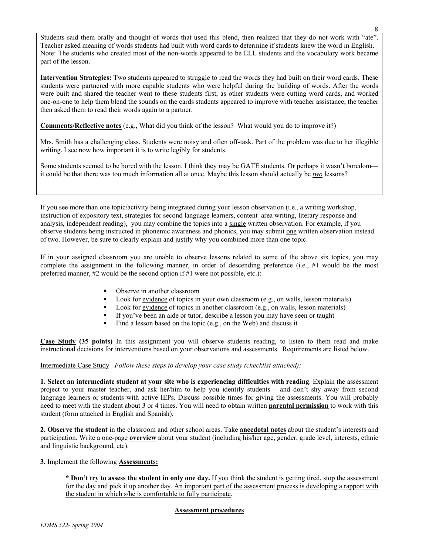Students said them orally and thought of words that used this blend, then realized that they do not work with "ate". Teacher asked meaning of words students had built with word cards to determine if students knew the word in English. Note: The students who created most of the non-words appeared to be ELL students and the vocabulary work became part of the lesson.

**Intervention Strategies:** Two students appeared to struggle to read the words they had built on their word cards. These students were partnered with more capable students who were helpful during the building of words. After the words were built and shared the teacher went to these students first, as other students were cutting word cards, and worked one-on-one to help them blend the sounds on the cards students appeared to improve with teacher assistance, the teacher then asked them to read their words again to a partner.

**Comments/Reflective notes** (e.g., What did you think of the lesson? What would you do to improve it?)

Mrs. Smith has a challenging class. Students were noisy and often off-task. Part of the problem was due to her illegible writing. I see now how important it is to write legibly for students.

Some students seemed to be bored with the lesson. I think they may be GATE students. Or perhaps it wasn't boredom it could be that there was too much information all at once. Maybe this lesson should actually be *two* lessons?

If you see more than one topic/activity being integrated during your lesson observation (i.e., a writing workshop, instruction of expository text, strategies for second language learners, content area writing, literary response and analysis, independent reading), you may combine the topics into a single written observation. For example, if you observe students being instructed in phonemic awareness and phonics, you may submit one written observation instead of two. However, be sure to clearly explain and justify why you combined more than one topic.

If in your assigned classroom you are unable to observe lessons related to some of the above six topics, you may complete the assignment in the following manner, in order of descending preference (i.e., #1 would be the most preferred manner, #2 would be the second option if #1 were not possible, etc.):

- Observe in another classroom
- Look for evidence of topics in your own classroom (e.g., on walls, lesson materials)
- Look for evidence of topics in another classroom (e.g., on walls, lesson materials)
- If you've been an aide or tutor, describe a lesson you may have seen or taught
- Find a lesson based on the topic (e.g., on the Web) and discuss it

**Case Study (35 points)** In this assignment you will observe students reading, to listen to them read and make instructional decisions for interventions based on your observations and assessments. Requirements are listed below.

Intermediate Case Study *Follow these steps to develop your case study (checklist attached):* 

**1. Select an intermediate student at your site who is experiencing difficulties with reading**. Explain the assessment project to your master teacher, and ask her/him to help you identify students – and don't shy away from second language learners or students with active IEPs. Discuss possible times for giving the assessments. You will probably need to meet with the student about 3 or 4 times. You will need to obtain written **parental permission** to work with this student (form attached in English and Spanish).

**2. Observe the student** in the classroom and other school areas. Take **anecdotal notes** about the student's interests and participation. Write a one-page **overview** about your student (including his/her age, gender, grade level, interests, ethnic and linguistic background, etc).

**3.** Implement the following **Assessments:**

**\* Don't try to assess the student in only one day.** If you think the student is getting tired, stop the assessment for the day and pick it up another day. An important part of the assessment process is developing a rapport with the student in which s/he is comfortable to fully participate.

## **Assessment procedures**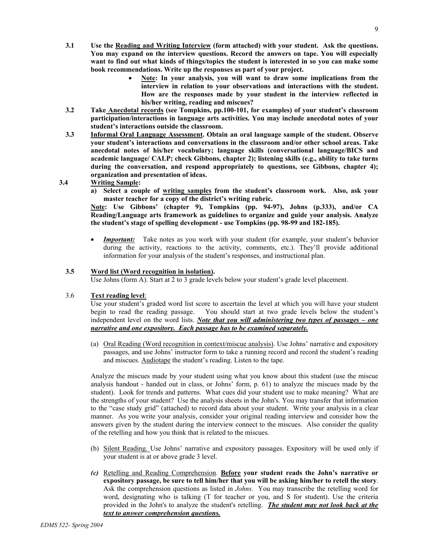- **3.1 Use the Reading and Writing Interview (form attached) with your student. Ask the questions. You may expand on the interview questions. Record the answers on tape. You will especially want to find out what kinds of things/topics the student is interested in so you can make some book recommendations. Write up the responses as part of your project.** 
	- **Note: In your analysis, you will want to draw some implications from the interview in relation to your observations and interactions with the student. How are the responses made by your student in the interview reflected in his/her writing, reading and miscues?**
- **3.2 Take Anecdotal records (see Tompkins, pp.100-101, for examples) of your student's classroom participation/interactions in language arts activities. You may include anecdotal notes of your student's interactions outside the classroom.**
- **3.3 Informal Oral Language Assessment. Obtain an oral language sample of the student. Observe your student's interactions and conversations in the classroom and/or other school areas. Take anecdotal notes of his/her vocabulary; language skills (conversational language/BICS and academic language/ CALP; check Gibbons, chapter 2); listening skills (e.g., ability to take turns during the conversation, and respond appropriately to questions, see Gibbons, chapter 4); organization and presentation of ideas.**

## **3.4 Writing Sample:**

**a) Select a couple of writing samples from the student's classroom work. Also, ask your master teacher for a copy of the district's writing rubric.** 

**Note: Use Gibbons' (chapter 9), Tompkins (pp. 94-97), Johns (p.333), and/or CA Reading/Language arts framework as guidelines to organize and guide your analysis. Analyze the student's stage of spelling development - use Tompkins (pp. 98-99 and 182-185).** 

**Important:** Take notes as you work with your student (for example, your student's behavior during the activity, reactions to the activity, comments, etc.). They'll provide additional information for your analysis of the student's responses, and instructional plan.

## **3.5 Word list (Word recognition in isolation).**

Use Johns (form A). Start at 2 to 3 grade levels below your student's grade level placement.

## 3.6 **Text reading level**:

Use your student's graded word list score to ascertain the level at which you will have your student begin to read the reading passage. You should start at two grade levels below the student's independent level on the word lists. *Note that you will administering two types of passages – one narrative and one expository. Each passage has to be examined separately.*

(a) Oral Reading (Word recognition in context/miscue analysis). Use Johns' narrative and expository passages, and use Johns' instructor form to take a running record and record the student's reading and miscues. Audiotape the student's reading. Listen to the tape.

Analyze the miscues made by your student using what you know about this student (use the miscue analysis handout - handed out in class, or Johns' form, p. 61) to analyze the miscues made by the student). Look for trends and patterns. What cues did your student use to make meaning? What are the strengths of your student? Use the analysis sheets in the John's. You may transfer that information to the "case study grid" (attached) to record data about your student. Write your analysis in a clear manner. As you write your analysis, consider your original reading interview and consider how the answers given by the student during the interview connect to the miscues. Also consider the quality of the retelling and how you think that is related to the miscues.

- (b) Silent Reading. Use Johns' narrative and expository passages. Expository will be used only if your student is at or above grade 3 level.
- *(c)* Retelling and Reading Comprehension. **Before your student reads the John's narrative or expository passage, be sure to tell him/her that you will be asking him/her to retell the story**. Ask the comprehension questions as listed in *Johns.* You may transcribe the retelling word for word, designating who is talking (T for teacher or you, and S for student). Use the criteria provided in the John's to analyze the student's retelling. *The student may not look back at the text to answer comprehension questions.*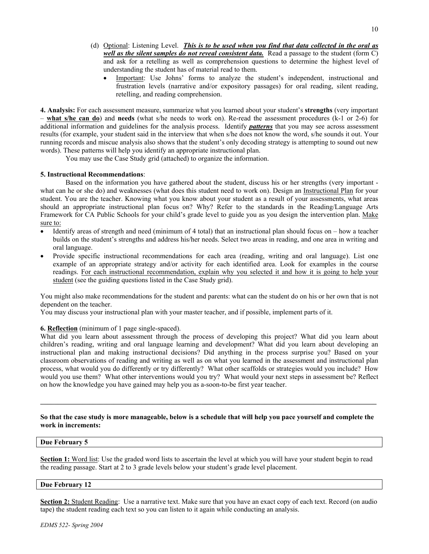- (d) Optional: Listening Level. *This is to be used when you find that data collected in the oral as well as the silent samples do not reveal consistent data.* Read a passage to the student (form C) and ask for a retelling as well as comprehension questions to determine the highest level of understanding the student has of material read to them.
	- Important: Use Johns' forms to analyze the student's independent, instructional and frustration levels (narrative and/or expository passages) for oral reading, silent reading, retelling, and reading comprehension.

**4. Analysis:** For each assessment measure, summarize what you learned about your student's **strengths** (very important – **what s/he can do**) and **needs** (what s/he needs to work on). Re-read the assessment procedures (k-1 or 2-6) for additional information and guidelines for the analysis process. Identify *patterns* that you may see across assessment results (for example, your student said in the interview that when s/he does not know the word, s/he sounds it out. Your running records and miscue analysis also shows that the student's only decoding strategy is attempting to sound out new words). These patterns will help you identify an appropriate instructional plan.

You may use the Case Study grid (attached) to organize the information.

#### **5. Instructional Recommendations**:

Based on the information you have gathered about the student, discuss his or her strengths (very important what can he or she do) and weaknesses (what does this student need to work on). Design an Instructional Plan for your student. You are the teacher. Knowing what you know about your student as a result of your assessments, what areas should an appropriate instructional plan focus on? Why? Refer to the standards in the Reading/Language Arts Framework for CA Public Schools for your child's grade level to guide you as you design the intervention plan. Make sure to:

- Identify areas of strength and need (minimum of 4 total) that an instructional plan should focus on how a teacher builds on the student's strengths and address his/her needs. Select two areas in reading, and one area in writing and oral language.
- Provide specific instructional recommendations for each area (reading, writing and oral language). List one example of an appropriate strategy and/or activity for each identified area. Look for examples in the course readings. For each instructional recommendation, explain why you selected it and how it is going to help your student (see the guiding questions listed in the Case Study grid).

You might also make recommendations for the student and parents: what can the student do on his or her own that is not dependent on the teacher.

You may discuss your instructional plan with your master teacher, and if possible, implement parts of it.

#### **6. Reflection** (minimum of 1 page single-spaced).

What did you learn about assessment through the process of developing this project? What did you learn about children's reading, writing and oral language learning and development? What did you learn about developing an instructional plan and making instructional decisions? Did anything in the process surprise you? Based on your classroom observations of reading and writing as well as on what you learned in the assessment and instructional plan process, what would you do differently or try differently? What other scaffolds or strategies would you include? How would you use them? What other interventions would you try? What would your next steps in assessment be? Reflect on how the knowledge you have gained may help you as a-soon-to-be first year teacher.

#### **So that the case study is more manageable, below is a schedule that will help you pace yourself and complete the work in increments:**

### **Due February 5**

**Section 1:** Word list: Use the graded word lists to ascertain the level at which you will have your student begin to read the reading passage. Start at 2 to 3 grade levels below your student's grade level placement.

#### **Due February 12**

**Section 2:** Student Reading: Use a narrative text. Make sure that you have an exact copy of each text. Record (on audio tape) the student reading each text so you can listen to it again while conducting an analysis.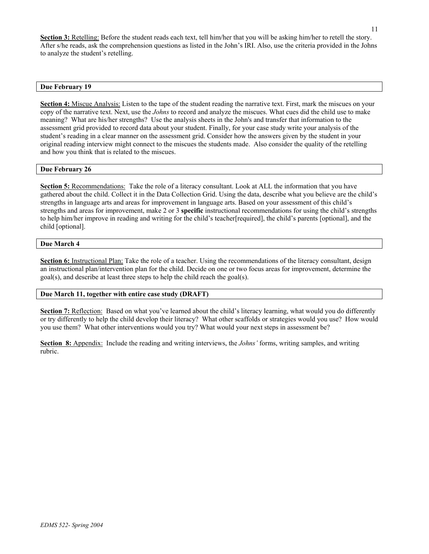**Section 3:** Retelling: Before the student reads each text, tell him/her that you will be asking him/her to retell the story. After s/he reads, ask the comprehension questions as listed in the John's IRI. Also, use the criteria provided in the Johns to analyze the student's retelling.

#### **Due February 19**

**Section 4:** Miscue Analysis: Listen to the tape of the student reading the narrative text. First, mark the miscues on your copy of the narrative text. Next, use the *Johns* to record and analyze the miscues. What cues did the child use to make meaning? What are his/her strengths? Use the analysis sheets in the John's and transfer that information to the assessment grid provided to record data about your student. Finally, for your case study write your analysis of the student's reading in a clear manner on the assessment grid. Consider how the answers given by the student in your original reading interview might connect to the miscues the students made. Also consider the quality of the retelling and how you think that is related to the miscues.

#### **Due February 26**

**Section 5:** Recommendations: Take the role of a literacy consultant. Look at ALL the information that you have gathered about the child. Collect it in the Data Collection Grid. Using the data, describe what you believe are the child's strengths in language arts and areas for improvement in language arts. Based on your assessment of this child's strengths and areas for improvement, make 2 or 3 **specific** instructional recommendations for using the child's strengths to help him/her improve in reading and writing for the child's teacher[required], the child's parents [optional], and the child [optional].

### **Due March 4**

**Section 6:** Instructional Plan: Take the role of a teacher. Using the recommendations of the literacy consultant, design an instructional plan/intervention plan for the child. Decide on one or two focus areas for improvement, determine the goal(s), and describe at least three steps to help the child reach the goal(s).

#### **Due March 11, together with entire case study (DRAFT)**

**Section 7:** Reflection: Based on what you've learned about the child's literacy learning, what would you do differently or try differently to help the child develop their literacy? What other scaffolds or strategies would you use? How would you use them? What other interventions would you try? What would your next steps in assessment be?

**Section 8:** Appendix: Include the reading and writing interviews, the *Johns'* forms, writing samples, and writing rubric.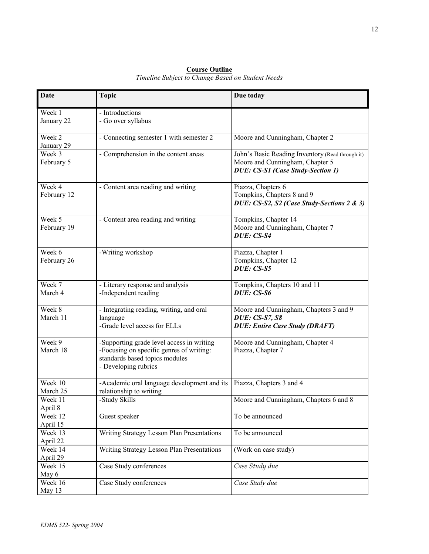| Week 1<br>- Introductions<br>January 22<br>- Go over syllabus<br>Week 2<br>- Connecting semester 1 with semester 2<br>Moore and Cunningham, Chapter 2<br>January 29<br>Week 3<br>- Comprehension in the content areas<br>John's Basic Reading Inventory (Read through it)<br>February 5<br>Moore and Cunningham, Chapter 5<br>DUE: CS-S1 (Case Study-Section 1)<br>Week 4<br>- Content area reading and writing<br>Piazza, Chapters 6<br>Tompkins, Chapters 8 and 9<br>February 12<br>DUE: CS-S2, S2 (Case Study-Sections 2 & 3)<br>Week 5<br>- Content area reading and writing<br>Tompkins, Chapter 14<br>February 19<br>Moore and Cunningham, Chapter 7<br>DUE: CS-S4<br>Week 6<br>-Writing workshop<br>Piazza, Chapter 1<br>Tompkins, Chapter 12<br>February 26<br>DUE: CS-S5<br>Week 7<br>- Literary response and analysis<br>Tompkins, Chapters 10 and 11<br>March 4<br>DUE: CS-S6<br>-Independent reading<br>Week 8<br>- Integrating reading, writing, and oral<br>Moore and Cunningham, Chapters 3 and 9<br>March 11<br><b>DUE: CS-S7, S8</b><br>language<br>-Grade level access for ELLs<br><b>DUE: Entire Case Study (DRAFT)</b><br>Week 9<br>-Supporting grade level access in writing<br>Moore and Cunningham, Chapter 4<br>March 18<br>-Focusing on specific genres of writing:<br>Piazza, Chapter 7<br>standards based topics modules<br>- Developing rubrics<br>Week 10<br>-Academic oral language development and its<br>Piazza, Chapters 3 and 4<br>March 25<br>relationship to writing<br>Moore and Cunningham, Chapters 6 and 8<br>-Study Skills<br>Week 11<br>April 8<br>Week 12<br>Guest speaker<br>To be announced<br>April 15<br>Writing Strategy Lesson Plan Presentations<br>Week 13<br>To be announced<br>April 22<br>Writing Strategy Lesson Plan Presentations<br>Week 14<br>(Work on case study)<br>April 29<br>Week 15<br>Case Study conferences<br>Case Study due | <b>Date</b> | <b>Topic</b> | Due today |
|--------------------------------------------------------------------------------------------------------------------------------------------------------------------------------------------------------------------------------------------------------------------------------------------------------------------------------------------------------------------------------------------------------------------------------------------------------------------------------------------------------------------------------------------------------------------------------------------------------------------------------------------------------------------------------------------------------------------------------------------------------------------------------------------------------------------------------------------------------------------------------------------------------------------------------------------------------------------------------------------------------------------------------------------------------------------------------------------------------------------------------------------------------------------------------------------------------------------------------------------------------------------------------------------------------------------------------------------------------------------------------------------------------------------------------------------------------------------------------------------------------------------------------------------------------------------------------------------------------------------------------------------------------------------------------------------------------------------------------------------------------------------------------------------------------------------------------------------------------------------------------------------------|-------------|--------------|-----------|
|                                                                                                                                                                                                                                                                                                                                                                                                                                                                                                                                                                                                                                                                                                                                                                                                                                                                                                                                                                                                                                                                                                                                                                                                                                                                                                                                                                                                                                                                                                                                                                                                                                                                                                                                                                                                                                                                                                  |             |              |           |
|                                                                                                                                                                                                                                                                                                                                                                                                                                                                                                                                                                                                                                                                                                                                                                                                                                                                                                                                                                                                                                                                                                                                                                                                                                                                                                                                                                                                                                                                                                                                                                                                                                                                                                                                                                                                                                                                                                  |             |              |           |
|                                                                                                                                                                                                                                                                                                                                                                                                                                                                                                                                                                                                                                                                                                                                                                                                                                                                                                                                                                                                                                                                                                                                                                                                                                                                                                                                                                                                                                                                                                                                                                                                                                                                                                                                                                                                                                                                                                  |             |              |           |
|                                                                                                                                                                                                                                                                                                                                                                                                                                                                                                                                                                                                                                                                                                                                                                                                                                                                                                                                                                                                                                                                                                                                                                                                                                                                                                                                                                                                                                                                                                                                                                                                                                                                                                                                                                                                                                                                                                  |             |              |           |
|                                                                                                                                                                                                                                                                                                                                                                                                                                                                                                                                                                                                                                                                                                                                                                                                                                                                                                                                                                                                                                                                                                                                                                                                                                                                                                                                                                                                                                                                                                                                                                                                                                                                                                                                                                                                                                                                                                  |             |              |           |
|                                                                                                                                                                                                                                                                                                                                                                                                                                                                                                                                                                                                                                                                                                                                                                                                                                                                                                                                                                                                                                                                                                                                                                                                                                                                                                                                                                                                                                                                                                                                                                                                                                                                                                                                                                                                                                                                                                  |             |              |           |
|                                                                                                                                                                                                                                                                                                                                                                                                                                                                                                                                                                                                                                                                                                                                                                                                                                                                                                                                                                                                                                                                                                                                                                                                                                                                                                                                                                                                                                                                                                                                                                                                                                                                                                                                                                                                                                                                                                  |             |              |           |
|                                                                                                                                                                                                                                                                                                                                                                                                                                                                                                                                                                                                                                                                                                                                                                                                                                                                                                                                                                                                                                                                                                                                                                                                                                                                                                                                                                                                                                                                                                                                                                                                                                                                                                                                                                                                                                                                                                  |             |              |           |
|                                                                                                                                                                                                                                                                                                                                                                                                                                                                                                                                                                                                                                                                                                                                                                                                                                                                                                                                                                                                                                                                                                                                                                                                                                                                                                                                                                                                                                                                                                                                                                                                                                                                                                                                                                                                                                                                                                  |             |              |           |
|                                                                                                                                                                                                                                                                                                                                                                                                                                                                                                                                                                                                                                                                                                                                                                                                                                                                                                                                                                                                                                                                                                                                                                                                                                                                                                                                                                                                                                                                                                                                                                                                                                                                                                                                                                                                                                                                                                  |             |              |           |
|                                                                                                                                                                                                                                                                                                                                                                                                                                                                                                                                                                                                                                                                                                                                                                                                                                                                                                                                                                                                                                                                                                                                                                                                                                                                                                                                                                                                                                                                                                                                                                                                                                                                                                                                                                                                                                                                                                  |             |              |           |
|                                                                                                                                                                                                                                                                                                                                                                                                                                                                                                                                                                                                                                                                                                                                                                                                                                                                                                                                                                                                                                                                                                                                                                                                                                                                                                                                                                                                                                                                                                                                                                                                                                                                                                                                                                                                                                                                                                  |             |              |           |
|                                                                                                                                                                                                                                                                                                                                                                                                                                                                                                                                                                                                                                                                                                                                                                                                                                                                                                                                                                                                                                                                                                                                                                                                                                                                                                                                                                                                                                                                                                                                                                                                                                                                                                                                                                                                                                                                                                  |             |              |           |
|                                                                                                                                                                                                                                                                                                                                                                                                                                                                                                                                                                                                                                                                                                                                                                                                                                                                                                                                                                                                                                                                                                                                                                                                                                                                                                                                                                                                                                                                                                                                                                                                                                                                                                                                                                                                                                                                                                  |             |              |           |
|                                                                                                                                                                                                                                                                                                                                                                                                                                                                                                                                                                                                                                                                                                                                                                                                                                                                                                                                                                                                                                                                                                                                                                                                                                                                                                                                                                                                                                                                                                                                                                                                                                                                                                                                                                                                                                                                                                  |             |              |           |
|                                                                                                                                                                                                                                                                                                                                                                                                                                                                                                                                                                                                                                                                                                                                                                                                                                                                                                                                                                                                                                                                                                                                                                                                                                                                                                                                                                                                                                                                                                                                                                                                                                                                                                                                                                                                                                                                                                  |             |              |           |
|                                                                                                                                                                                                                                                                                                                                                                                                                                                                                                                                                                                                                                                                                                                                                                                                                                                                                                                                                                                                                                                                                                                                                                                                                                                                                                                                                                                                                                                                                                                                                                                                                                                                                                                                                                                                                                                                                                  |             |              |           |
|                                                                                                                                                                                                                                                                                                                                                                                                                                                                                                                                                                                                                                                                                                                                                                                                                                                                                                                                                                                                                                                                                                                                                                                                                                                                                                                                                                                                                                                                                                                                                                                                                                                                                                                                                                                                                                                                                                  |             |              |           |
|                                                                                                                                                                                                                                                                                                                                                                                                                                                                                                                                                                                                                                                                                                                                                                                                                                                                                                                                                                                                                                                                                                                                                                                                                                                                                                                                                                                                                                                                                                                                                                                                                                                                                                                                                                                                                                                                                                  |             |              |           |
|                                                                                                                                                                                                                                                                                                                                                                                                                                                                                                                                                                                                                                                                                                                                                                                                                                                                                                                                                                                                                                                                                                                                                                                                                                                                                                                                                                                                                                                                                                                                                                                                                                                                                                                                                                                                                                                                                                  |             |              |           |
|                                                                                                                                                                                                                                                                                                                                                                                                                                                                                                                                                                                                                                                                                                                                                                                                                                                                                                                                                                                                                                                                                                                                                                                                                                                                                                                                                                                                                                                                                                                                                                                                                                                                                                                                                                                                                                                                                                  |             |              |           |
|                                                                                                                                                                                                                                                                                                                                                                                                                                                                                                                                                                                                                                                                                                                                                                                                                                                                                                                                                                                                                                                                                                                                                                                                                                                                                                                                                                                                                                                                                                                                                                                                                                                                                                                                                                                                                                                                                                  |             |              |           |
|                                                                                                                                                                                                                                                                                                                                                                                                                                                                                                                                                                                                                                                                                                                                                                                                                                                                                                                                                                                                                                                                                                                                                                                                                                                                                                                                                                                                                                                                                                                                                                                                                                                                                                                                                                                                                                                                                                  |             |              |           |
|                                                                                                                                                                                                                                                                                                                                                                                                                                                                                                                                                                                                                                                                                                                                                                                                                                                                                                                                                                                                                                                                                                                                                                                                                                                                                                                                                                                                                                                                                                                                                                                                                                                                                                                                                                                                                                                                                                  |             |              |           |
|                                                                                                                                                                                                                                                                                                                                                                                                                                                                                                                                                                                                                                                                                                                                                                                                                                                                                                                                                                                                                                                                                                                                                                                                                                                                                                                                                                                                                                                                                                                                                                                                                                                                                                                                                                                                                                                                                                  |             |              |           |
|                                                                                                                                                                                                                                                                                                                                                                                                                                                                                                                                                                                                                                                                                                                                                                                                                                                                                                                                                                                                                                                                                                                                                                                                                                                                                                                                                                                                                                                                                                                                                                                                                                                                                                                                                                                                                                                                                                  |             |              |           |
|                                                                                                                                                                                                                                                                                                                                                                                                                                                                                                                                                                                                                                                                                                                                                                                                                                                                                                                                                                                                                                                                                                                                                                                                                                                                                                                                                                                                                                                                                                                                                                                                                                                                                                                                                                                                                                                                                                  |             |              |           |
|                                                                                                                                                                                                                                                                                                                                                                                                                                                                                                                                                                                                                                                                                                                                                                                                                                                                                                                                                                                                                                                                                                                                                                                                                                                                                                                                                                                                                                                                                                                                                                                                                                                                                                                                                                                                                                                                                                  |             |              |           |
|                                                                                                                                                                                                                                                                                                                                                                                                                                                                                                                                                                                                                                                                                                                                                                                                                                                                                                                                                                                                                                                                                                                                                                                                                                                                                                                                                                                                                                                                                                                                                                                                                                                                                                                                                                                                                                                                                                  |             |              |           |
|                                                                                                                                                                                                                                                                                                                                                                                                                                                                                                                                                                                                                                                                                                                                                                                                                                                                                                                                                                                                                                                                                                                                                                                                                                                                                                                                                                                                                                                                                                                                                                                                                                                                                                                                                                                                                                                                                                  |             |              |           |
|                                                                                                                                                                                                                                                                                                                                                                                                                                                                                                                                                                                                                                                                                                                                                                                                                                                                                                                                                                                                                                                                                                                                                                                                                                                                                                                                                                                                                                                                                                                                                                                                                                                                                                                                                                                                                                                                                                  | May 6       |              |           |
| Week 16<br>Case Study conferences<br>Case Study due<br>May 13                                                                                                                                                                                                                                                                                                                                                                                                                                                                                                                                                                                                                                                                                                                                                                                                                                                                                                                                                                                                                                                                                                                                                                                                                                                                                                                                                                                                                                                                                                                                                                                                                                                                                                                                                                                                                                    |             |              |           |

**Course Outline** *Timeline Subject to Change Based on Student Needs*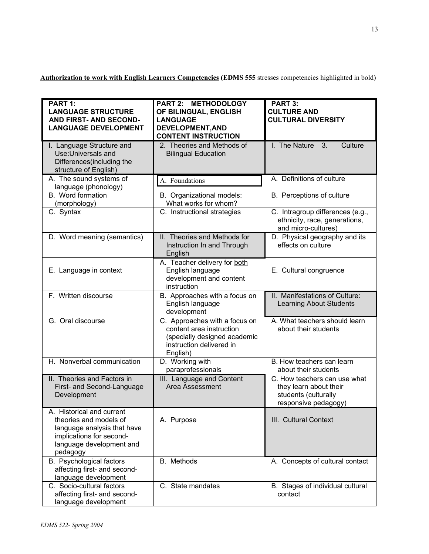Authorization to work with English Learners Competencies (EDMS 555 stresses competencies highlighted in bold)

| PART 1:<br><b>LANGUAGE STRUCTURE</b><br><b>AND FIRST- AND SECOND-</b><br><b>LANGUAGE DEVELOPMENT</b>                                                   | PART 2: METHODOLOGY<br>OF BILINGUAL, ENGLISH<br><b>LANGUAGE</b><br>DEVELOPMENT, AND<br><b>CONTENT INSTRUCTION</b>                 | <b>PART 3:</b><br><b>CULTURE AND</b><br><b>CULTURAL DIVERSITY</b>                                      |
|--------------------------------------------------------------------------------------------------------------------------------------------------------|-----------------------------------------------------------------------------------------------------------------------------------|--------------------------------------------------------------------------------------------------------|
| I. Language Structure and<br>Use: Universals and<br>Differences (including the<br>structure of English)                                                | 2. Theories and Methods of<br><b>Bilingual Education</b>                                                                          | I. The Nature<br>Culture<br>3.                                                                         |
| A. The sound systems of<br>language (phonology)                                                                                                        | A. Foundations                                                                                                                    | A. Definitions of culture                                                                              |
| B. Word formation<br>(morphology)                                                                                                                      | B. Organizational models:<br>What works for whom?                                                                                 | B. Perceptions of culture                                                                              |
| C. Syntax                                                                                                                                              | C. Instructional strategies                                                                                                       | C. Intragroup differences (e.g.,<br>ethnicity, race, generations,<br>and micro-cultures)               |
| D. Word meaning (semantics)                                                                                                                            | II. Theories and Methods for<br>Instruction In and Through<br>English                                                             | D. Physical geography and its<br>effects on culture                                                    |
| E. Language in context                                                                                                                                 | A. Teacher delivery for both<br>English language<br>development and content<br>instruction                                        | E. Cultural congruence                                                                                 |
| F. Written discourse                                                                                                                                   | B. Approaches with a focus on<br>English language<br>development                                                                  | II. Manifestations of Culture:<br><b>Learning About Students</b>                                       |
| G. Oral discourse                                                                                                                                      | C. Approaches with a focus on<br>content area instruction<br>(specially designed academic<br>instruction delivered in<br>English) | A. What teachers should learn<br>about their students                                                  |
| H. Nonverbal communication                                                                                                                             | D. Working with<br>paraprofessionals                                                                                              | B. How teachers can learn<br>about their students                                                      |
| II. Theories and Factors in<br>First- and Second-Language<br>Development                                                                               | III. Language and Content<br>Area Assessment                                                                                      | C. How teachers can use what<br>they learn about their<br>students (culturally<br>responsive pedagogy) |
| A. Historical and current<br>theories and models of<br>language analysis that have<br>implications for second-<br>language development and<br>pedagogy | A. Purpose                                                                                                                        | III. Cultural Context                                                                                  |
| B. Psychological factors<br>affecting first- and second-<br>language development                                                                       | B. Methods                                                                                                                        | A. Concepts of cultural contact                                                                        |
| C. Socio-cultural factors<br>affecting first- and second-<br>language development                                                                      | C. State mandates                                                                                                                 | B. Stages of individual cultural<br>contact                                                            |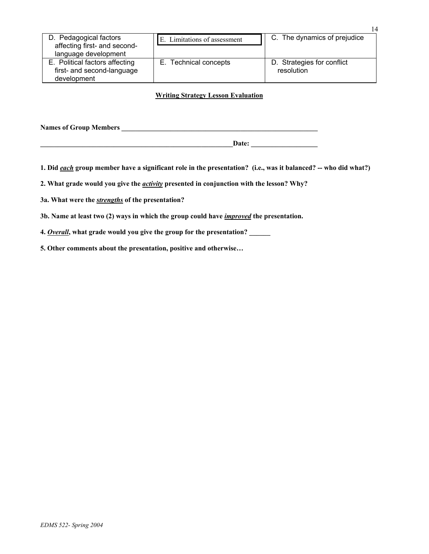| D. Pedagogical factors<br>affecting first- and second-<br>language development | E. Limitations of assessment | C. The dynamics of prejudice             |
|--------------------------------------------------------------------------------|------------------------------|------------------------------------------|
| E. Political factors affecting<br>first- and second-language<br>development    | E. Technical concepts        | D. Strategies for conflict<br>resolution |

## **Writing Strategy Lesson Evaluation**

**Names of Group Members \_\_\_\_\_\_\_\_\_\_\_\_\_\_\_\_\_\_\_\_\_\_\_\_\_\_\_\_\_\_\_\_\_\_\_\_\_\_\_\_\_\_\_\_\_\_\_\_\_\_\_\_\_\_\_\_** 

**1. Did** *each* **group member have a significant role in the presentation? (i.e., was it balanced? -- who did what?)** 

**\_\_\_\_\_\_\_\_\_\_\_\_\_\_\_\_\_\_\_\_\_\_\_\_\_\_\_\_\_\_\_\_\_\_\_\_\_\_\_\_\_\_\_\_\_\_\_\_\_\_\_\_\_\_\_Date: \_\_\_\_\_\_\_\_\_\_\_\_\_\_\_\_\_\_\_** 

**2. What grade would you give the** *activity* **presented in conjunction with the lesson? Why?** 

**3a. What were the** *strengths* **of the presentation?** 

**3b. Name at least two (2) ways in which the group could have** *improved* **the presentation.** 

**4.** *Overall***, what grade would you give the group for the presentation? \_\_\_\_\_\_** 

**5. Other comments about the presentation, positive and otherwise…** 

14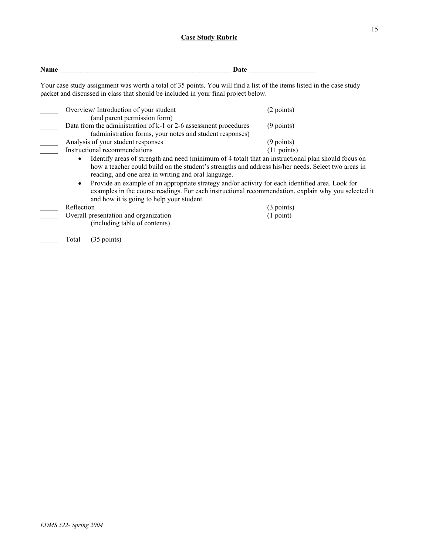## **Case Study Rubric**

| Name | Date                                                                                                                                                                                                        |                       |  |  |
|------|-------------------------------------------------------------------------------------------------------------------------------------------------------------------------------------------------------------|-----------------------|--|--|
|      | Your case study assignment was worth a total of 35 points. You will find a list of the items listed in the case study<br>packet and discussed in class that should be included in your final project below. |                       |  |  |
|      | Overview/Introduction of your student<br>(and parent permission form)                                                                                                                                       | (2 points)            |  |  |
|      | Data from the administration of k-1 or 2-6 assessment procedures<br>(administration forms, your notes and student responses)                                                                                | $(9$ points)          |  |  |
|      | Analysis of your student responses                                                                                                                                                                          | $(9$ points)          |  |  |
|      | Instructional recommendations                                                                                                                                                                               | $(11 \text{ points})$ |  |  |
|      | Identify areas of strength and need (minimum of 4 total) that an instructional plan should focus on $-$                                                                                                     |                       |  |  |
|      | how a teacher could build on the student's strengths and address his/her needs. Select two areas in<br>reading, and one area in writing and oral language.                                                  |                       |  |  |

• Provide an example of an appropriate strategy and/or activity for each identified area. Look for examples in the course readings. For each instructional recommendation, explain why you selected it and how it is going to help your student.

Reflection (3 points)<br>Overall presentation and organization (3 point) (1 point) Overall presentation and organization (including table of contents)

Total (35 points)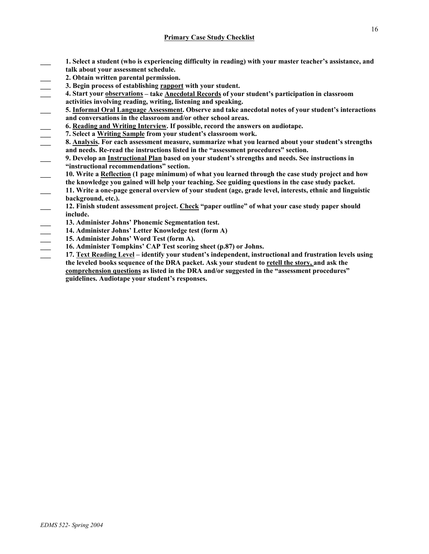- **\_\_\_ 1. Select a student (who is experiencing difficulty in reading) with your master teacher's assistance, and talk about your assessment schedule.**
- **\_\_\_ 2. Obtain written parental permission.**
- **\_\_\_ 3. Begin process of establishing rapport with your student.**
- **\_\_\_ 4. Start your observations take Anecdotal Records of your student's participation in classroom**
- **activities involving reading, writing, listening and speaking.**
- **\_\_\_ 5. Informal Oral Language Assessment. Observe and take anecdotal notes of your student's interactions and conversations in the classroom and/or other school areas.**
- 
- **\_\_\_ 7. Select a Writing Sample from your student's classroom work.**
- **4. Comparison 1. Alter Startup Interview.** If possible, record the answers on audiotape.<br>
2. Select a <u>Writing Sample</u> from your student's classroom work.<br> **3. <u>Analysis</u>**. For each assessment measure, summarize what you **\_\_\_ 8. Analysis. For each assessment measure, summarize what you learned about your student's strengths and needs. Re-read the instructions listed in the "assessment procedures" section.**
- **\_\_\_ 9. Develop an Instructional Plan based on your student's strengths and needs. See instructions in "instructional recommendations" section.**
- **\_\_\_ 10. Write a Reflection (1 page minimum) of what you learned through the case study project and how the knowledge you gained will help your teaching. See guiding questions in the case study packet.**
- **\_\_\_ 11. Write a one-page general overview of your student (age, grade level, interests, ethnic and linguistic background, etc.).**
- **\_\_\_ 12. Finish student assessment project. Check "paper outline" of what your case study paper should include.**
- **\_\_\_ 13. Administer Johns' Phonemic Segmentation test.**
- **\_\_\_ 14. Administer Johns' Letter Knowledge test (form A)**
- **\_\_\_ 15. Administer Johns' Word Test (form A).**
- **\_\_\_ 16. Administer Tompkins' CAP Test scoring sheet (p.87) or Johns.**
- **\_\_\_ 17. Text Reading Level identify your student's independent, instructional and frustration levels using the leveled books sequence of the DRA packet. Ask your student to retell the story, and ask the comprehension questions as listed in the DRA and/or suggested in the "assessment procedures" guidelines. Audiotape your student's responses.**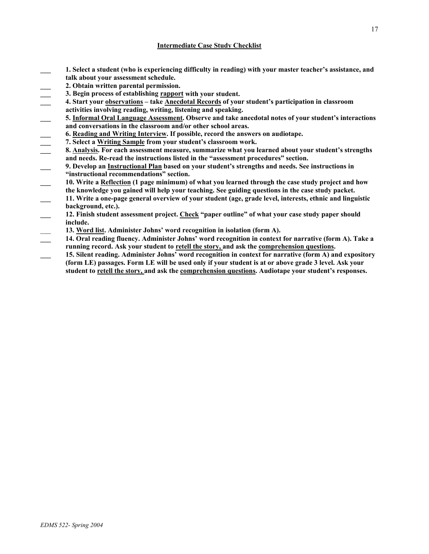## **Intermediate Case Study Checklist**

- **\_\_\_ 1. Select a student (who is experiencing difficulty in reading) with your master teacher's assistance, and talk about your assessment schedule.**
- 
- **\_\_\_ 3. Begin process of establishing rapport with your student.**
- **2. Obtain written parental permission.**<br>3. Begin process of establishing <u>rappor</u><br>4. Start your <u>observations</u> take <u>Anece</u> **\_\_\_ 4. Start your observations – take Anecdotal Records of your student's participation in classroom activities involving reading, writing, listening and speaking.**
- **\_\_\_ 5. Informal Oral Language Assessment. Observe and take anecdotal notes of your student's interactions and conversations in the classroom and/or other school areas.**
- **\_\_\_ 6. Reading and Writing Interview. If possible, record the answers on audiotape.**
- **\_\_\_ 7. Select a Writing Sample from your student's classroom work.**
- **\_\_\_ 8. Analysis. For each assessment measure, summarize what you learned about your student's strengths and needs. Re-read the instructions listed in the "assessment procedures" section.**
- **\_\_\_ 9. Develop an Instructional Plan based on your student's strengths and needs. See instructions in "instructional recommendations" section.**
- **\_\_\_ 10. Write a Reflection (1 page minimum) of what you learned through the case study project and how the knowledge you gained will help your teaching. See guiding questions in the case study packet.**
- **\_\_\_ 11. Write a one-page general overview of your student (age, grade level, interests, ethnic and linguistic background, etc.).**
- **\_\_\_ 12. Finish student assessment project. Check "paper outline" of what your case study paper should include.**
- 13. Word list. Administer Johns' word recognition in isolation (form A).
- **\_\_\_ 14. Oral reading fluency. Administer Johns' word recognition in context for narrative (form A). Take a running record. Ask your student to retell the story, and ask the comprehension questions.**
- **\_\_\_ 15. Silent reading. Administer Johns' word recognition in context for narrative (form A) and expository (form LE) passages. Form LE will be used only if your student is at or above grade 3 level. Ask your student to retell the story, and ask the comprehension questions. Audiotape your student's responses.**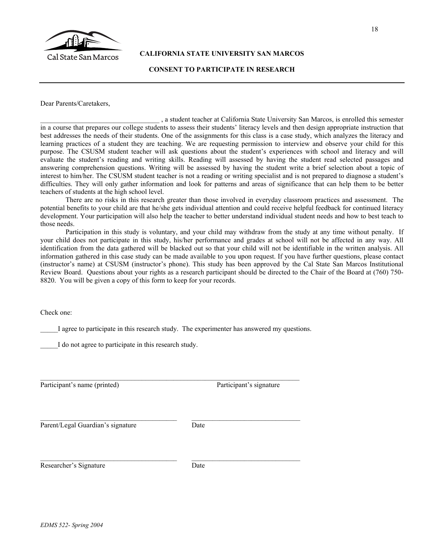

**CALIFORNIA STATE UNIVERSITY SAN MARCOS** 

## **CONSENT TO PARTICIPATE IN RESEARCH**

Dear Parents/Caretakers,

\_\_\_\_\_\_\_\_\_\_\_\_\_\_\_\_\_\_\_\_\_\_\_\_\_\_\_\_\_\_\_\_\_\_ , a student teacher at California State University San Marcos, is enrolled this semester in a course that prepares our college students to assess their students' literacy levels and then design appropriate instruction that best addresses the needs of their students. One of the assignments for this class is a case study, which analyzes the literacy and learning practices of a student they are teaching. We are requesting permission to interview and observe your child for this purpose. The CSUSM student teacher will ask questions about the student's experiences with school and literacy and will evaluate the student's reading and writing skills. Reading will assessed by having the student read selected passages and answering comprehension questions. Writing will be assessed by having the student write a brief selection about a topic of interest to him/her. The CSUSM student teacher is not a reading or writing specialist and is not prepared to diagnose a student's difficulties. They will only gather information and look for patterns and areas of significance that can help them to be better teachers of students at the high school level.

There are no risks in this research greater than those involved in everyday classroom practices and assessment. The potential benefits to your child are that he/she gets individual attention and could receive helpful feedback for continued literacy development. Your participation will also help the teacher to better understand individual student needs and how to best teach to those needs.

Participation in this study is voluntary, and your child may withdraw from the study at any time without penalty. If your child does not participate in this study, his/her performance and grades at school will not be affected in any way. All identification from the data gathered will be blacked out so that your child will not be identifiable in the written analysis. All information gathered in this case study can be made available to you upon request. If you have further questions, please contact (instructor's name) at CSUSM (instructor's phone). This study has been approved by the Cal State San Marcos Institutional Review Board. Questions about your rights as a research participant should be directed to the Chair of the Board at (760) 750- 8820. You will be given a copy of this form to keep for your records.

Check one:

I agree to participate in this research study. The experimenter has answered my questions.

\_\_\_\_\_I do not agree to participate in this research study.

Participant's name (printed) Participant's signature

Parent/Legal Guardian's signature Date

Researcher's Signature Date

 $\_$  , and the set of the set of the set of the set of the set of the set of the set of the set of the set of the set of the set of the set of the set of the set of the set of the set of the set of the set of the set of th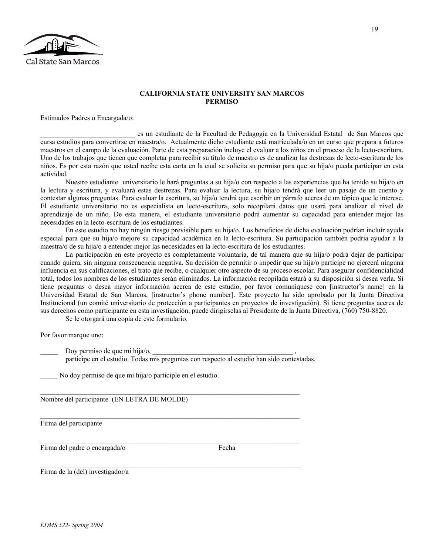

### **CALIFORNIA STATE UNIVERSITY SAN MARCOS PERMISO**

Estimados Padres o Encargada/o:

\_\_\_\_\_\_\_\_\_\_\_\_\_\_\_\_\_\_\_\_\_\_\_\_\_\_\_ es un estudiante de la Facultad de Pedagogía en la Universidad Estatal de San Marcos que cursa estudios para convertirse en maestra/o. Actualmente dicho estudiante está matriculada/o en un curso que prepara a futuros maestros en el campo de la evaluación. Parte de esta preparación incluye el evaluar a los niños en el proceso de la lecto-escritura. Uno de los trabajos que tienen que completar para recibir su título de maestro es de analizar las destrezas de lecto-escritura de los niños. Es por esta razón que usted recibe esta carta en la cual se solicita su permiso para que su hija/o pueda participar en esta actividad.

Nuestro estudiante universitario le hará preguntas a su hija/o con respecto a las experiencias que ha tenido su hija/o en la lectura y escritura, y evaluará estas destrezas. Para evaluar la lectura, su hija/o tendrá que leer un pasaje de un cuento y contestar algunas preguntas. Para evaluar la escritura, su hija/o tendrá que escribir un párrafo acerca de un tópico que le interese. El estudiante universitario no es especialista en lecto-escritura, solo recopilará datos que usará para analizar el nivel de aprendizaje de un niño. De esta manera, el estudiante universitario podrá aumentar su capacidad para entender mejor las necesidades en la lecto-escritura de los estudiantes.

En este estudio no hay ningún riesgo previsible para su hija/o. Los beneficios de dicha evaluación podrían incluír ayuda especial para que su hija/o mejore su capacidad académica en la lecto-escritura. Su participación también podría ayudar a la maestra/o de su hija/o a entender mejor las necesidades en la lecto-escritura de los estudiantes.

La participación en este proyecto es completamente voluntaria, de tal manera que su hija/o podrá dejar de participar cuando quiera, sin ninguna consecuencia negativa. Su decisión de permitir o impedir que su hija/o participe no ejercerá ninguna influencia en sus calificaciones, el trato que recibe, o cualquier otro aspecto de su proceso escolar. Para asegurar confidencialidad total, todos los nombres de los estudiantes serán eliminados. La información recopilada estará a su disposición si desea verla. Si tiene preguntas o desea mayor información acerca de este estudio, por favor comuníquese con [instructor's name] en la Universidad Estatal de San Marcos, [instructor's phone number]. Este proyecto ha sido aprobado por la Junta Directiva Institucional (un comité universitario de protección a participantes en proyectos de investigación). Si tiene preguntas acerca de sus derechos como participante en esta investigación, puede dirigírselas al Presidente de la Junta Directiva, (760) 750-8820.

Se le otorgará una copia de este formulario.

Por favor marque uno:

Doy permiso de que mi hija/o,

participe en el estudio. Todas mis preguntas con respecto al estudio han sido contestadas.

 $\_$  , and the set of the set of the set of the set of the set of the set of the set of the set of the set of the set of the set of the set of the set of the set of the set of the set of the set of the set of the set of th

 $\_$  , and the set of the set of the set of the set of the set of the set of the set of the set of the set of the set of the set of the set of the set of the set of the set of the set of the set of the set of the set of th

 $\_$  , and the set of the set of the set of the set of the set of the set of the set of the set of the set of the set of the set of the set of the set of the set of the set of the set of the set of the set of the set of th

 $\_$  , and the set of the set of the set of the set of the set of the set of the set of the set of the set of the set of the set of the set of the set of the set of the set of the set of the set of the set of the set of th

\_\_\_\_\_ No doy permiso de que mi hija/o participle en el estudio.

Nombre del participante (EN LETRA DE MOLDE)

Firma del participante

Firma del padre o encargada/o Fecha

Firma de la (del) investigador/a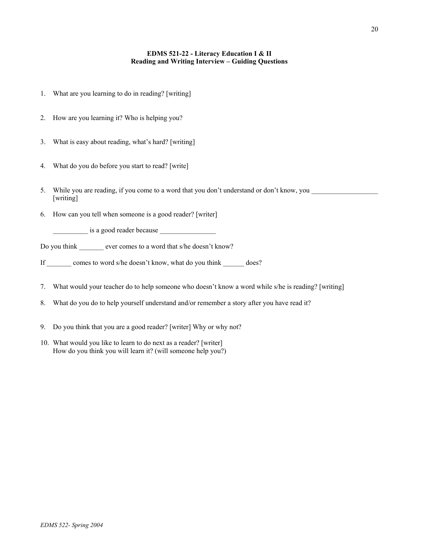## **EDMS 521-22 - Literacy Education I & II Reading and Writing Interview – Guiding Questions**

- 1. What are you learning to do in reading? [writing]
- 2. How are you learning it? Who is helping you?
- 3. What is easy about reading, what's hard? [writing]
- 4. What do you do before you start to read? [write]
- 5. While you are reading, if you come to a word that you don't understand or don't know, you [writing]
- 6. How can you tell when someone is a good reader? [writer]

 $\frac{1}{\sqrt{1-\frac{1}{2}}}\$  is a good reader because  $\frac{1}{\sqrt{1-\frac{1}{2}}}\$ 

Do you think ever comes to a word that s/he doesn't know?

If comes to word s/he doesn't know, what do you think does?

- 7. What would your teacher do to help someone who doesn't know a word while s/he is reading? [writing]
- 8. What do you do to help yourself understand and/or remember a story after you have read it?
- 9. Do you think that you are a good reader? [writer] Why or why not?
- 10. What would you like to learn to do next as a reader? [writer] How do you think you will learn it? (will someone help you?)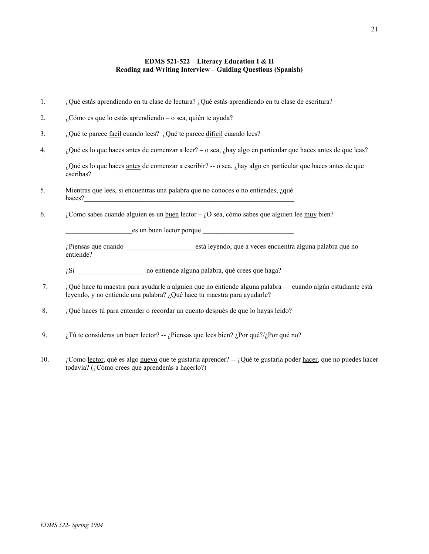## **EDMS 521-522 – Literacy Education I & II Reading and Writing Interview – Guiding Questions (Spanish)**

- 1. ¿Qué estás aprendiendo en tu clase de <u>lectura</u>? ¿Qué estás aprendiendo en tu clase de <u>escritura</u>?
- 2.  $\dot{c}$   $\ddot{c}$   $\ddot{c}$   $\ddot{c}$   $\ddot{c}$   $\ddot{c}$   $\ddot{c}$   $\ddot{c}$   $\ddot{c}$   $\ddot{c}$   $\ddot{c}$   $\ddot{c}$   $\ddot{c}$   $\ddot{c}$   $\ddot{c}$   $\ddot{c}$   $\ddot{c}$   $\ddot{c}$   $\ddot{c}$   $\ddot{c}$   $\ddot{c}$   $\ddot{c}$   $\ddot{c}$   $\ddot{c}$   $\dd$
- 3.  $i$  *i*, Qué te parece <u>facil</u> cuando lees? *i*, Qué te parece difícil cuando lees?
- 4. ¿Qué es lo que haces antes de comenzar a leer? o sea, ¿hay algo en particular que haces antes de que leas?

¿Qué es lo que haces antes de comenzar a escribir? -- o sea, ¿hay algo en particular que haces antes de que escribas?

- 5. Mientras que lees, si encuentras una palabra que no conoces o no entiendes, ¿qué haces?
- 6.  $\frac{\partial^2 u}{\partial x^2}$  (Cómo sabes cuando alguien es un <u>buen</u> lector  $\partial x$  sea, cómo sabes que alguien lee muy bien?

\_\_\_\_\_\_\_\_\_\_\_\_\_\_\_\_\_\_\_es un buen lector porque \_\_\_\_\_\_\_\_\_\_\_\_\_\_\_\_\_\_\_\_\_\_\_\_\_\_

¿Piensas que cuando \_\_\_\_\_\_\_\_\_\_\_\_\_\_\_\_\_\_\_\_está leyendo, que a veces encuentra alguna palabra que no entiende?

¿Si \_\_\_\_\_\_\_\_\_\_\_\_\_\_\_\_\_\_\_\_no entiende alguna palabra, qué crees que haga?

- 7. ¿Qué hace tu maestra para ayudarle a alguien que no entiende alguna palabra cuando algún estudiante está leyendo, y no entiende una palabra? ¿Qué hace tu maestra para ayudarle?
- 8. ¿Qué haces tú para entender o recordar un cuento después de que lo hayas leído?
- 9.  $\vec{i}$  is the consideras un buen lector? --  $\vec{i}$  Piensas que lees bien?  $\vec{i}$  Por qué?/ $\vec{i}$  Por qué no?
- 10. ¿Como lector, qué es algo nuevo que te gustaría aprender?  $-$  ¿Qué te gustaría poder hacer, que no puedes hacer todavía? (¿Cómo crees que aprenderás a hacerlo?)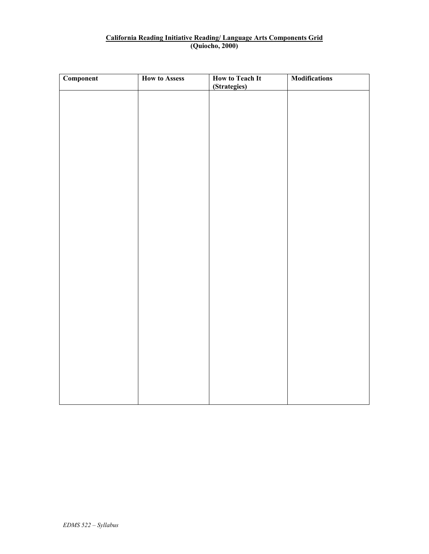# **California Reading Initiative Reading/ Language Arts Components Grid (Quiocho, 2000)**

| <b>Component</b> | <b>How to Assess</b> | How to Teach It<br>(Strategies) | <b>Modifications</b> |
|------------------|----------------------|---------------------------------|----------------------|
|                  |                      |                                 |                      |
|                  |                      |                                 |                      |
|                  |                      |                                 |                      |
|                  |                      |                                 |                      |
|                  |                      |                                 |                      |
|                  |                      |                                 |                      |
|                  |                      |                                 |                      |
|                  |                      |                                 |                      |
|                  |                      |                                 |                      |
|                  |                      |                                 |                      |
|                  |                      |                                 |                      |
|                  |                      |                                 |                      |
|                  |                      |                                 |                      |
|                  |                      |                                 |                      |
|                  |                      |                                 |                      |
|                  |                      |                                 |                      |
|                  |                      |                                 |                      |
|                  |                      |                                 |                      |
|                  |                      |                                 |                      |
|                  |                      |                                 |                      |
|                  |                      |                                 |                      |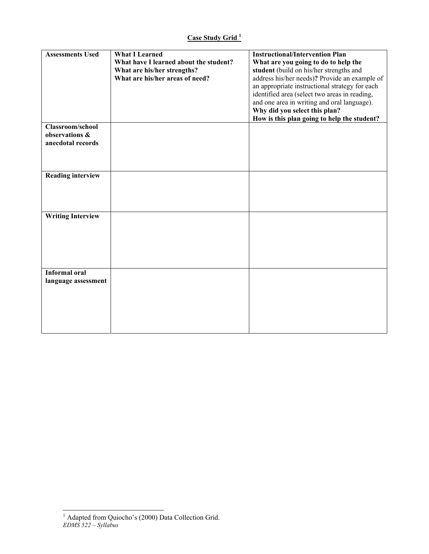| <b>Assessments Used</b>                                 | <b>What I Learned</b><br>What have I learned about the student?<br>What are his/her strengths?<br>What are his/her areas of need? | <b>Instructional/Intervention Plan</b><br>What are you going to do to help the<br>student (build on his/her strengths and<br>address his/her needs)? Provide an example of<br>an appropriate instructional strategy for each<br>identified area (select two areas in reading,<br>and one area in writing and oral language).<br>Why did you select this plan? |
|---------------------------------------------------------|-----------------------------------------------------------------------------------------------------------------------------------|---------------------------------------------------------------------------------------------------------------------------------------------------------------------------------------------------------------------------------------------------------------------------------------------------------------------------------------------------------------|
| Classroom/school<br>observations &<br>anecdotal records |                                                                                                                                   | How is this plan going to help the student?                                                                                                                                                                                                                                                                                                                   |
| <b>Reading interview</b>                                |                                                                                                                                   |                                                                                                                                                                                                                                                                                                                                                               |
| <b>Writing Interview</b>                                |                                                                                                                                   |                                                                                                                                                                                                                                                                                                                                                               |
| <b>Informal oral</b><br>language assessment             |                                                                                                                                   |                                                                                                                                                                                                                                                                                                                                                               |

*EDMS 522 – Syllabus*  <sup>1</sup> Adapted from Quiocho's (2000) Data Collection Grid.